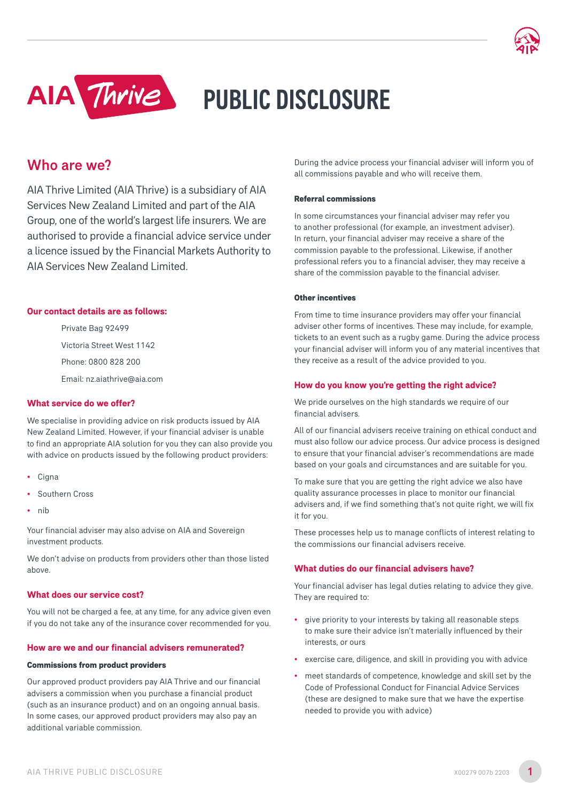



# Who are we?

AIA Thrive Limited (AIA Thrive) is a subsidiary of AIA Services New Zealand Limited and part of the AIA Group, one of the world's largest life insurers. We are authorised to provide a financial advice service under a licence issued by the Financial Markets Authority to AIA Services New Zealand Limited.

#### **Our contact details are as follows:**

Private Bag 92499

Victoria Street West 1142

Phone: 0800 828 200

Email: nz.aiathrive@aia.com

### **What service do we offer?**

We specialise in providing advice on risk products issued by AIA New Zealand Limited. However, if your financial adviser is unable to find an appropriate AIA solution for you they can also provide you with advice on products issued by the following product providers:

- Cigna
- Southern Cross
- nib

Your financial adviser may also advise on AIA and Sovereign investment products.

We don't advise on products from providers other than those listed above.

#### **What does our service cost?**

You will not be charged a fee, at any time, for any advice given even if you do not take any of the insurance cover recommended for you.

#### **How are we and our financial advisers remunerated?**

#### **Commissions from product providers**

Our approved product providers pay AIA Thrive and our financial advisers a commission when you purchase a financial product (such as an insurance product) and on an ongoing annual basis. In some cases, our approved product providers may also pay an additional variable commission.

During the advice process your financial adviser will inform you of all commissions payable and who will receive them.

#### **Referral commissions**

In some circumstances your financial adviser may refer you to another professional (for example, an investment adviser). In return, your financial adviser may receive a share of the commission payable to the professional. Likewise, if another professional refers you to a financial adviser, they may receive a share of the commission payable to the financial adviser.

#### **Other incentives**

From time to time insurance providers may offer your financial adviser other forms of incentives. These may include, for example, tickets to an event such as a rugby game. During the advice process your financial adviser will inform you of any material incentives that they receive as a result of the advice provided to you.

#### **How do you know you're getting the right advice?**

We pride ourselves on the high standards we require of our financial advisers.

All of our financial advisers receive training on ethical conduct and must also follow our advice process. Our advice process is designed to ensure that your financial adviser's recommendations are made based on your goals and circumstances and are suitable for you.

To make sure that you are getting the right advice we also have quality assurance processes in place to monitor our financial advisers and, if we find something that's not quite right, we will fix it for you.

These processes help us to manage conflicts of interest relating to the commissions our financial advisers receive.

## **What duties do our financial advisers have?**

Your financial adviser has legal duties relating to advice they give. They are required to:

- give priority to your interests by taking all reasonable steps to make sure their advice isn't materially influenced by their interests, or ours
- exercise care, diligence, and skill in providing you with advice
- meet standards of competence, knowledge and skill set by the Code of Professional Conduct for Financial Advice Services (these are designed to make sure that we have the expertise needed to provide you with advice)